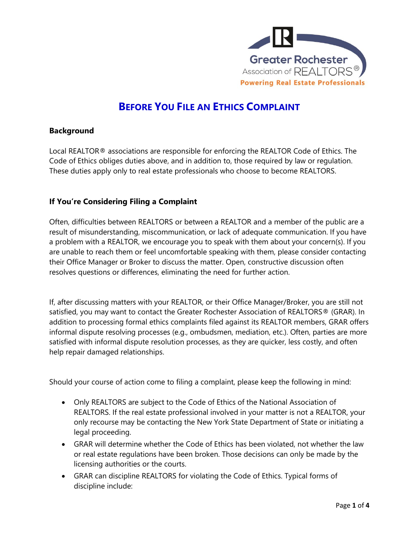

# **BEFORE YOU FILE AN ETHICS COMPLAINT**

#### **Background**

Local REALTOR® associations are responsible for enforcing the REALTOR Code of Ethics. The Code of Ethics obliges duties above, and in addition to, those required by law or regulation. These duties apply only to real estate professionals who choose to become REALTORS.

## **If You're Considering Filing a Complaint**

Often, difficulties between REALTORS or between a REALTOR and a member of the public are a result of misunderstanding, miscommunication, or lack of adequate communication. If you have a problem with a REALTOR, we encourage you to speak with them about your concern(s). If you are unable to reach them or feel uncomfortable speaking with them, please consider contacting their Office Manager or Broker to discuss the matter. Open, constructive discussion often resolves questions or differences, eliminating the need for further action.

If, after discussing matters with your REALTOR, or their Office Manager/Broker, you are still not satisfied, you may want to contact the Greater Rochester Association of REALTORS® (GRAR). In addition to processing formal ethics complaints filed against its REALTOR members, GRAR offers informal dispute resolving processes (e.g., ombudsmen, mediation, etc.). Often, parties are more satisfied with informal dispute resolution processes, as they are quicker, less costly, and often help repair damaged relationships.

Should your course of action come to filing a complaint, please keep the following in mind:

- Only REALTORS are subject to the Code of Ethics of the National Association of REALTORS. If the real estate professional involved in your matter is not a REALTOR, your only recourse may be contacting the New York State Department of State or initiating a legal proceeding.
- GRAR will determine whether the Code of Ethics has been violated, not whether the law or real estate regulations have been broken. Those decisions can only be made by the licensing authorities or the courts.
- GRAR can discipline REALTORS for violating the Code of Ethics. Typical forms of discipline include: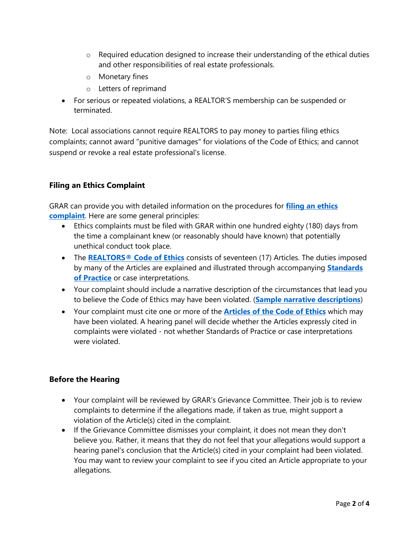- o Required education designed to increase their understanding of the ethical duties and other responsibilities of real estate professionals.
- o Monetary fines
- o Letters of reprimand
- For serious or repeated violations, a REALTOR'S membership can be suspended or terminated.

Note: Local associations cannot require REALTORS to pay money to parties filing ethics complaints; cannot award "punitive damages" for violations of the Code of Ethics; and cannot suspend or revoke a real estate professional's license.

#### **Filing an Ethics Complaint**

GRAR can provide you with detailed information on the procedures for **[filing an ethics](https://www.grar.org/file-a-complaint/)  [complaint](https://www.grar.org/file-a-complaint/)**. Here are some general principles:

- Ethics complaints must be filed with GRAR within one hundred eighty (180) days from the time a complainant knew (or reasonably should have known) that potentially unethical conduct took place.
- The **[REALTORS® Code of Ethics](https://www.nar.realtor/about-nar/governing-documents/code-of-ethics/2022-code-of-ethics-standards-of-practice)** consists of seventeen (17) Articles. The duties imposed by many of the Articles are explained and illustrated through accompanying **[Standards](https://www.nar.realtor/about-nar/policies/code-of-ethics-and-professional-standards)  [of Practice](https://www.nar.realtor/about-nar/policies/code-of-ethics-and-professional-standards)** or case interpretations.
- Your complaint should include a narrative description of the circumstances that lead you to believe the Code of Ethics may have been violated. (**[Sample narrative descriptions](https://www.grar.org/wp-content/uploads/2019/09/NAR-SAMPLE-ETHICS-NARRATIVES.pdf)**)
- Your complaint must cite one or more of the **[Articles of the Code of Ethics](https://www.nar.realtor/about-nar/governing-documents/code-of-ethics/2022-code-of-ethics-standards-of-practice)** which may have been violated. A hearing panel will decide whether the Articles expressly cited in complaints were violated - not whether Standards of Practice or case interpretations were violated.

## **Before the Hearing**

- Your complaint will be reviewed by GRAR's Grievance Committee. Their job is to review complaints to determine if the allegations made, if taken as true, might support a violation of the Article(s) cited in the complaint.
- If the Grievance Committee dismisses your complaint, it does not mean they don't believe you. Rather, it means that they do not feel that your allegations would support a hearing panel's conclusion that the Article(s) cited in your complaint had been violated. You may want to review your complaint to see if you cited an Article appropriate to your allegations.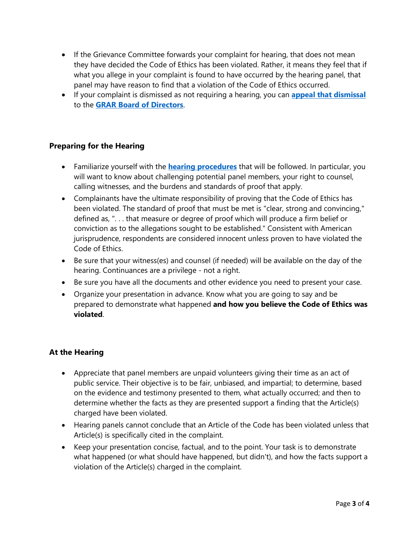- If the Grievance Committee forwards your complaint for hearing, that does not mean they have decided the Code of Ethics has been violated. Rather, it means they feel that if what you allege in your complaint is found to have occurred by the hearing panel, that panel may have reason to find that a violation of the Code of Ethics occurred.
- If your complaint is dismissed as not requiring a hearing, you can **[appeal that dismissal](https://www.nar.realtor/sites/default/files/applications-and-forms/2016/CEAM/e22.pdf)** to the **[GRAR Board of Directors](https://www.grar.org/about-grar/#board-of-directors)**.

## **Preparing for the Hearing**

- Familiarize yourself with the **[hearing procedures](https://www.nar.realtor/code-of-ethics-and-arbitration-manual/form-e-9-outline-of-procedure-for-ethics-hearing)** that will be followed. In particular, you will want to know about challenging potential panel members, your right to counsel, calling witnesses, and the burdens and standards of proof that apply.
- Complainants have the ultimate responsibility of proving that the Code of Ethics has been violated. The standard of proof that must be met is "clear, strong and convincing," defined as, ". . . that measure or degree of proof which will produce a firm belief or conviction as to the allegations sought to be established." Consistent with American jurisprudence, respondents are considered innocent unless proven to have violated the Code of Ethics.
- Be sure that your witness(es) and counsel (if needed) will be available on the day of the hearing. Continuances are a privilege - not a right.
- Be sure you have all the documents and other evidence you need to present your case.
- Organize your presentation in advance. Know what you are going to say and be prepared to demonstrate what happened **and how you believe the Code of Ethics was violated**.

## **At the Hearing**

- Appreciate that panel members are unpaid volunteers giving their time as an act of public service. Their objective is to be fair, unbiased, and impartial; to determine, based on the evidence and testimony presented to them, what actually occurred; and then to determine whether the facts as they are presented support a finding that the Article(s) charged have been violated.
- Hearing panels cannot conclude that an Article of the Code has been violated unless that Article(s) is specifically cited in the complaint.
- Keep your presentation concise, factual, and to the point. Your task is to demonstrate what happened (or what should have happened, but didn't), and how the facts support a violation of the Article(s) charged in the complaint.